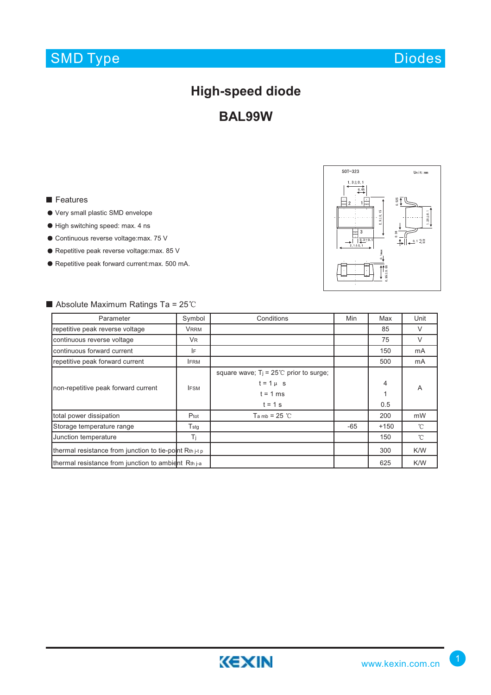# SMD Type

# **High-speed diode**

**BAL99W**

#### **Features**

- Very small plastic SMD envelope
- High switching speed: max. 4 ns
- Continuous reverse voltage:max. 75 V
- Repetitive peak reverse voltage: max. 85 V
- Repetitive peak forward current:max. 500 mA.



## $\blacksquare$  Absolute Maximum Ratings Ta = 25°C

| Parameter                                               | Symbol        | Conditions                                                                                  | Min   | Max      | Unit         |
|---------------------------------------------------------|---------------|---------------------------------------------------------------------------------------------|-------|----------|--------------|
| repetitive peak reverse voltage                         | <b>VRRM</b>   |                                                                                             |       | 85       | V            |
| continuous reverse voltage                              | <b>VR</b>     |                                                                                             |       | 75       | V            |
| continuous forward current                              | IF            |                                                                                             |       | 150      | mA           |
| repetitive peak forward current                         | <b>IFRM</b>   |                                                                                             |       | 500      | mA           |
| non-repetitive peak forward current                     | <b>IFSM</b>   | square wave; $T_i = 25^{\circ}$ prior to surge;<br>$t = 1 \mu$ s<br>$t = 1$ ms<br>$t = 1$ s |       | 4<br>0.5 | A            |
| total power dissipation                                 | Ptot          | $Tanb = 25$ °C                                                                              |       | 200      | mW           |
| Storage temperature range                               | $T_{\rm stg}$ |                                                                                             | $-65$ | $+150$   | $^{\circ}$ C |
| Junction temperature                                    | Τi            |                                                                                             |       | 150      | $^{\circ}$ C |
| thermal resistance from junction to tie-point Rth j-t p |               |                                                                                             |       | 300      | K/W          |
| thermal resistance from junction to ambient Rth j-a     |               |                                                                                             |       | 625      | K/W          |